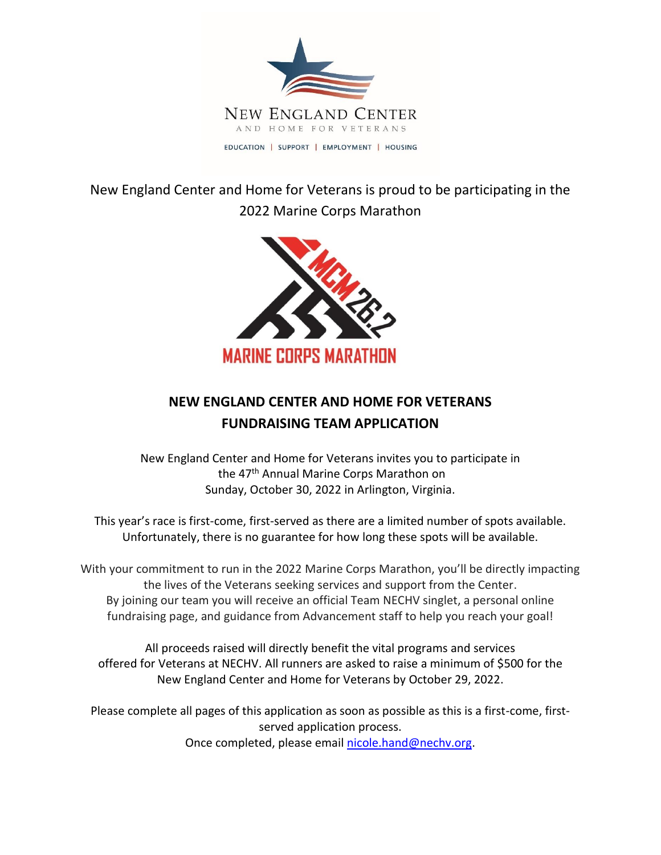

New England Center and Home for Veterans is proud to be participating in the 2022 Marine Corps Marathon



## **NEW ENGLAND CENTER AND HOME FOR VETERANS FUNDRAISING TEAM APPLICATION**

New England Center and Home for Veterans invites you to participate in the 47<sup>th</sup> Annual Marine Corps Marathon on Sunday, October 30, 2022 in Arlington, Virginia.

This year's race is first-come, first-served as there are a limited number of spots available. Unfortunately, there is no guarantee for how long these spots will be available.

With your commitment to run in the 2022 Marine Corps Marathon, you'll be directly impacting the lives of the Veterans seeking services and support from the Center. By joining our team you will receive an official Team NECHV singlet, a personal online fundraising page, and guidance from Advancement staff to help you reach your goal!

All proceeds raised will directly benefit the vital programs and services offered for Veterans at NECHV. All runners are asked to raise a minimum of \$500 for the New England Center and Home for Veterans by October 29, 2022.

Please complete all pages of this application as soon as possible as this is a first-come, firstserved application process. Once completed, please email [nicole.hand@nechv.org.](mailto:nicole.hand@nechv.org)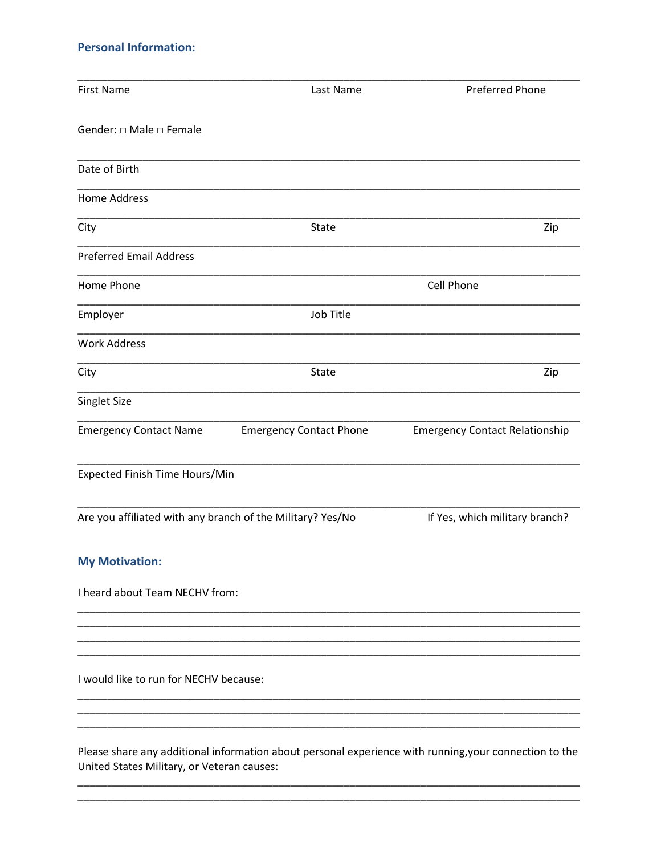## **Personal Information:**

| <b>First Name</b>                                          | Last Name                      | <b>Preferred Phone</b>                                                                                 |
|------------------------------------------------------------|--------------------------------|--------------------------------------------------------------------------------------------------------|
| Gender: □ Male □ Female                                    |                                |                                                                                                        |
| Date of Birth                                              |                                |                                                                                                        |
| <b>Home Address</b>                                        |                                |                                                                                                        |
| City                                                       | <b>State</b>                   | Zip                                                                                                    |
| <b>Preferred Email Address</b>                             |                                |                                                                                                        |
| Home Phone                                                 |                                | Cell Phone                                                                                             |
| Employer                                                   | Job Title                      |                                                                                                        |
| <b>Work Address</b>                                        |                                |                                                                                                        |
| City                                                       | State                          | Zip                                                                                                    |
| Singlet Size                                               |                                |                                                                                                        |
| <b>Emergency Contact Name</b>                              | <b>Emergency Contact Phone</b> | <b>Emergency Contact Relationship</b>                                                                  |
| Expected Finish Time Hours/Min                             |                                |                                                                                                        |
| Are you affiliated with any branch of the Military? Yes/No |                                | If Yes, which military branch?                                                                         |
| <b>My Motivation:</b>                                      |                                |                                                                                                        |
| I heard about Team NECHV from:                             |                                |                                                                                                        |
|                                                            |                                |                                                                                                        |
|                                                            |                                |                                                                                                        |
| I would like to run for NECHV because:                     |                                |                                                                                                        |
|                                                            |                                |                                                                                                        |
| United States Military, or Veteran causes:                 |                                | Please share any additional information about personal experience with running, your connection to the |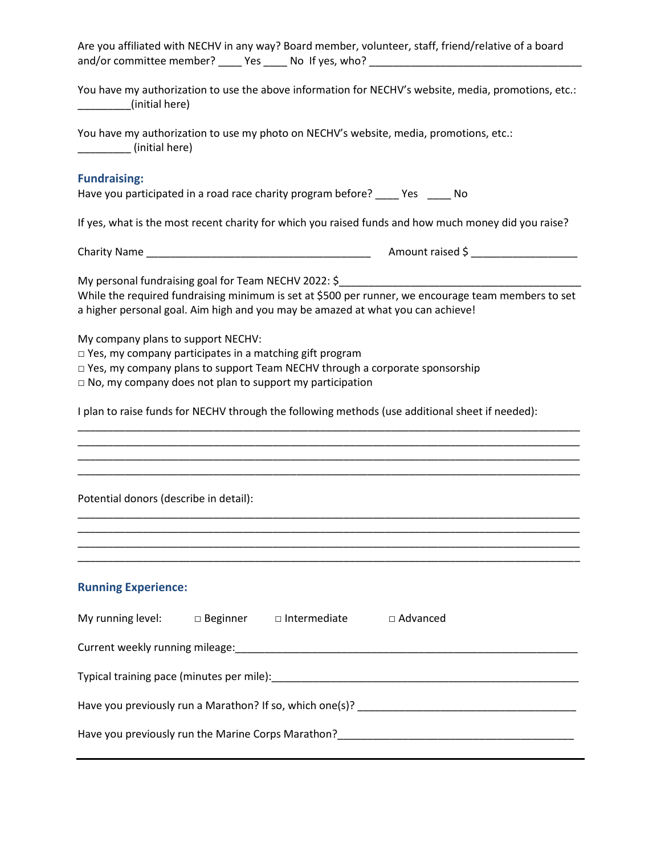| Are you affiliated with NECHV in any way? Board member, volunteer, staff, friend/relative of a board<br>and/or committee member? _____ Yes _____ No If yes, who? _______________________                                                                                                                                                                                                                                                |
|-----------------------------------------------------------------------------------------------------------------------------------------------------------------------------------------------------------------------------------------------------------------------------------------------------------------------------------------------------------------------------------------------------------------------------------------|
| You have my authorization to use the above information for NECHV's website, media, promotions, etc.:<br>(initial here)                                                                                                                                                                                                                                                                                                                  |
| You have my authorization to use my photo on NECHV's website, media, promotions, etc.:<br>(initial here)                                                                                                                                                                                                                                                                                                                                |
| <b>Fundraising:</b><br>Have you participated in a road race charity program before? ____ Yes ____ No                                                                                                                                                                                                                                                                                                                                    |
| If yes, what is the most recent charity for which you raised funds and how much money did you raise?                                                                                                                                                                                                                                                                                                                                    |
|                                                                                                                                                                                                                                                                                                                                                                                                                                         |
| My personal fundraising goal for Team NECHV 2022: \$<br>While the required fundraising minimum is set at \$500 per runner, we encourage team members to set<br>a higher personal goal. Aim high and you may be amazed at what you can achieve!<br>My company plans to support NECHV:<br>$\Box$ Yes, my company participates in a matching gift program<br>□ Yes, my company plans to support Team NECHV through a corporate sponsorship |
| $\Box$ No, my company does not plan to support my participation                                                                                                                                                                                                                                                                                                                                                                         |
| I plan to raise funds for NECHV through the following methods (use additional sheet if needed):                                                                                                                                                                                                                                                                                                                                         |
|                                                                                                                                                                                                                                                                                                                                                                                                                                         |
|                                                                                                                                                                                                                                                                                                                                                                                                                                         |
| Potential donors (describe in detail):                                                                                                                                                                                                                                                                                                                                                                                                  |
|                                                                                                                                                                                                                                                                                                                                                                                                                                         |
| <b>Running Experience:</b>                                                                                                                                                                                                                                                                                                                                                                                                              |
| My running level: $\Box$ Beginner $\Box$ Intermediate $\Box$ Advanced                                                                                                                                                                                                                                                                                                                                                                   |
|                                                                                                                                                                                                                                                                                                                                                                                                                                         |
|                                                                                                                                                                                                                                                                                                                                                                                                                                         |
|                                                                                                                                                                                                                                                                                                                                                                                                                                         |
| ,我们也不会有什么。""我们的人,我们也不会有什么?""我们的人,我们也不会有什么?""我们的人,我们也不会有什么?""我们的人,我们也不会有什么?""我们的人                                                                                                                                                                                                                                                                                                                                                        |